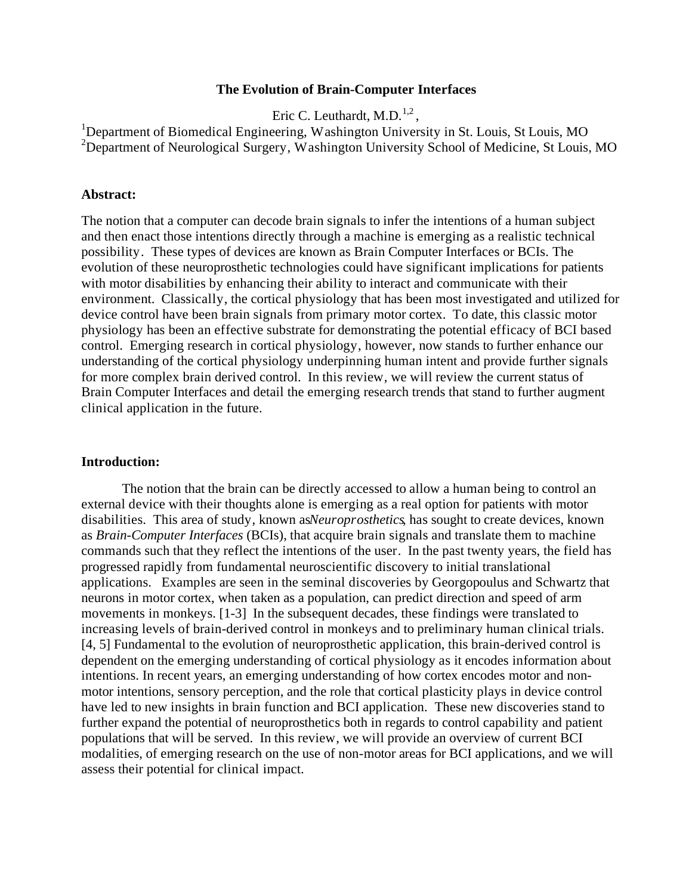#### **The Evolution of Brain-Computer Interfaces**

Eric C. Leuthardt, M.D. $^{1,2}$ ,

<sup>1</sup>Department of Biomedical Engineering, Washington University in St. Louis, St Louis, MO <sup>2</sup>Department of Neurological Surgery, Washington University School of Medicine, St Louis, MO

#### **Abstract:**

The notion that a computer can decode brain signals to infer the intentions of a human subject and then enact those intentions directly through a machine is emerging as a realistic technical possibility. These types of devices are known as Brain Computer Interfaces or BCIs. The evolution of these neuroprosthetic technologies could have significant implications for patients with motor disabilities by enhancing their ability to interact and communicate with their environment. Classically, the cortical physiology that has been most investigated and utilized for device control have been brain signals from primary motor cortex. To date, this classic motor physiology has been an effective substrate for demonstrating the potential efficacy of BCI based control. Emerging research in cortical physiology, however, now stands to further enhance our understanding of the cortical physiology underpinning human intent and provide further signals for more complex brain derived control. In this review, we will review the current status of Brain Computer Interfaces and detail the emerging research trends that stand to further augment clinical application in the future.

## **Introduction:**

The notion that the brain can be directly accessed to allow a human being to control an external device with their thoughts alone is emerging as a real option for patients with motor disabilities. This area of study, known as *Neuroprosthetics*, has sought to create devices, known as *Brain-Computer Interfaces* (BCIs), that acquire brain signals and translate them to machine commands such that they reflect the intentions of the user. In the past twenty years, the field has progressed rapidly from fundamental neuroscientific discovery to initial translational applications. Examples are seen in the seminal discoveries by Georgopoulus and Schwartz that neurons in motor cortex, when taken as a population, can predict direction and speed of arm movements in monkeys. [1-3] In the subsequent decades, these findings were translated to increasing levels of brain-derived control in monkeys and to preliminary human clinical trials. [4, 5] Fundamental to the evolution of neuroprosthetic application, this brain-derived control is dependent on the emerging understanding of cortical physiology as it encodes information about intentions. In recent years, an emerging understanding of how cortex encodes motor and nonmotor intentions, sensory perception, and the role that cortical plasticity plays in device control have led to new insights in brain function and BCI application. These new discoveries stand to further expand the potential of neuroprosthetics both in regards to control capability and patient populations that will be served. In this review, we will provide an overview of current BCI modalities, of emerging research on the use of non-motor areas for BCI applications, and we will assess their potential for clinical impact.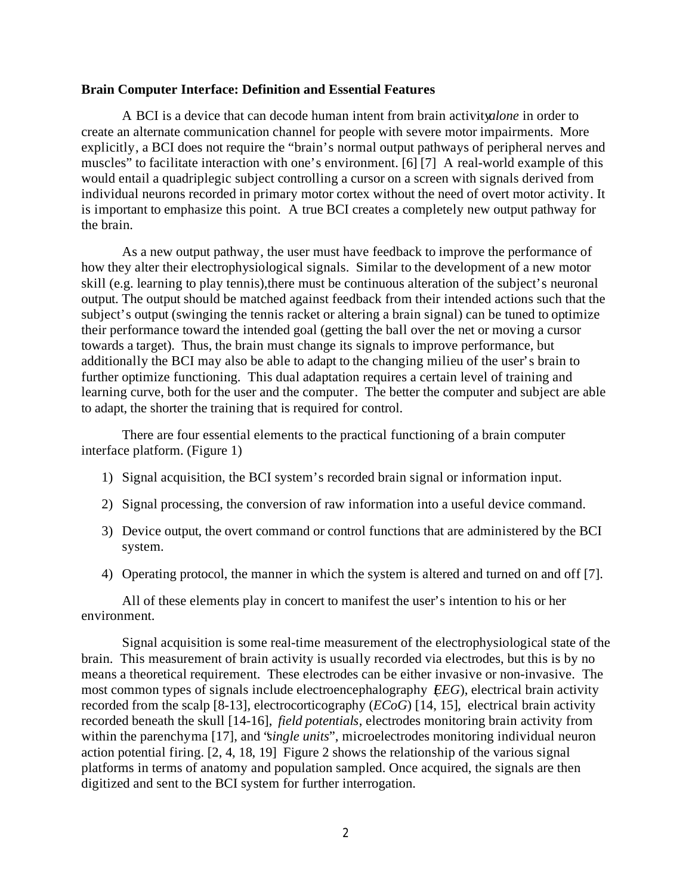#### **Brain Computer Interface: Definition and Essential Features**

A BCI is a device that can decode human intent from brain activity *alone* in order to create an alternate communication channel for people with severe motor impairments. More explicitly, a BCI does not require the "brain's normal output pathways of peripheral nerves and muscles" to facilitate interaction with one's environment. [6] [7] A real-world example of this would entail a quadriplegic subject controlling a cursor on a screen with signals derived from individual neurons recorded in primary motor cortex without the need of overt motor activity. It is important to emphasize this point. A true BCI creates a completely new output pathway for the brain.

As a new output pathway, the user must have feedback to improve the performance of how they alter their electrophysiological signals. Similar to the development of a new motor skill (e.g. learning to play tennis),there must be continuous alteration of the subject's neuronal output. The output should be matched against feedback from their intended actions such that the subject's output (swinging the tennis racket or altering a brain signal) can be tuned to optimize their performance toward the intended goal (getting the ball over the net or moving a cursor towards a target). Thus, the brain must change its signals to improve performance, but additionally the BCI may also be able to adapt to the changing milieu of the user's brain to further optimize functioning. This dual adaptation requires a certain level of training and learning curve, both for the user and the computer. The better the computer and subject are able to adapt, the shorter the training that is required for control.

There are four essential elements to the practical functioning of a brain computer interface platform. (Figure 1)

- 1) Signal acquisition, the BCI system's recorded brain signal or information input.
- 2) Signal processing, the conversion of raw information into a useful device command.
- 3) Device output, the overt command or control functions that are administered by the BCI system.
- 4) Operating protocol, the manner in which the system is altered and turned on and off [7].

All of these elements play in concert to manifest the user's intention to his or her environment.

Signal acquisition is some real-time measurement of the electrophysiological state of the brain. This measurement of brain activity is usually recorded via electrodes, but this is by no means a theoretical requirement. These electrodes can be either invasive or non-invasive. The most common types of signals include electroencephalography (*EEG*), electrical brain activity recorded from the scalp [8-13], electrocorticography (*ECoG*) [14, 15], electrical brain activity recorded beneath the skull [14-16], *field potentials*, electrodes monitoring brain activity from within the parenchyma [17], and "*single units*", microelectrodes monitoring individual neuron action potential firing. [2, 4, 18, 19] Figure 2 shows the relationship of the various signal platforms in terms of anatomy and population sampled. Once acquired, the signals are then digitized and sent to the BCI system for further interrogation.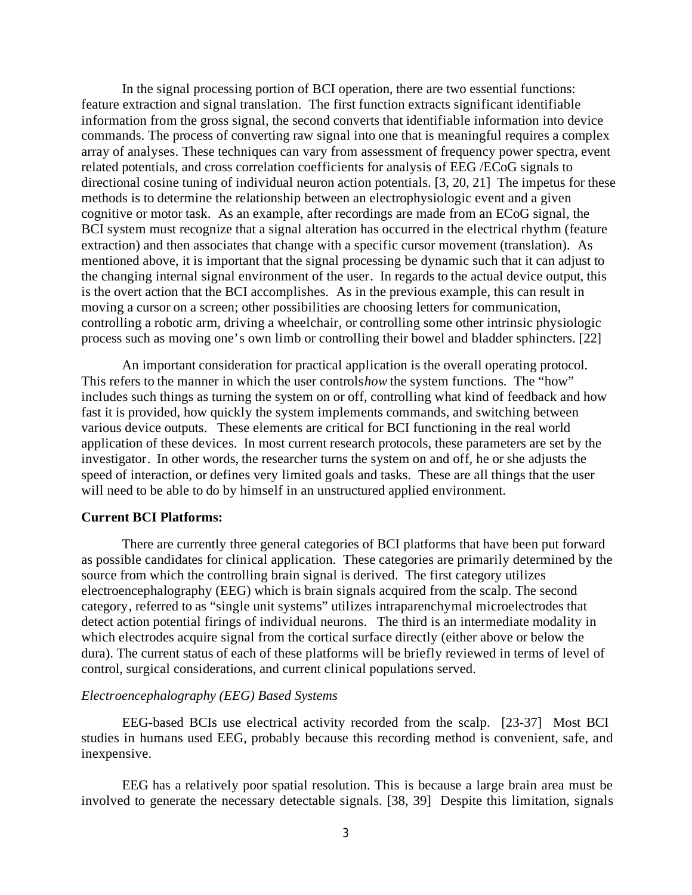In the signal processing portion of BCI operation, there are two essential functions: feature extraction and signal translation. The first function extracts significant identifiable information from the gross signal, the second converts that identifiable information into device commands. The process of converting raw signal into one that is meaningful requires a complex array of analyses. These techniques can vary from assessment of frequency power spectra, event related potentials, and cross correlation coefficients for analysis of EEG /ECoG signals to directional cosine tuning of individual neuron action potentials. [3, 20, 21] The impetus for these methods is to determine the relationship between an electrophysiologic event and a given cognitive or motor task. As an example, after recordings are made from an ECoG signal, the BCI system must recognize that a signal alteration has occurred in the electrical rhythm (feature extraction) and then associates that change with a specific cursor movement (translation). As mentioned above, it is important that the signal processing be dynamic such that it can adjust to the changing internal signal environment of the user. In regards to the actual device output, this is the overt action that the BCI accomplishes. As in the previous example, this can result in moving a cursor on a screen; other possibilities are choosing letters for communication, controlling a robotic arm, driving a wheelchair, or controlling some other intrinsic physiologic process such as moving one's own limb or controlling their bowel and bladder sphincters. [22]

An important consideration for practical application is the overall operating protocol. This refers to the manner in which the user controls *how* the system functions. The "how" includes such things as turning the system on or off, controlling what kind of feedback and how fast it is provided, how quickly the system implements commands, and switching between various device outputs. These elements are critical for BCI functioning in the real world application of these devices. In most current research protocols, these parameters are set by the investigator. In other words, the researcher turns the system on and off, he or she adjusts the speed of interaction, or defines very limited goals and tasks. These are all things that the user will need to be able to do by himself in an unstructured applied environment.

## **Current BCI Platforms:**

There are currently three general categories of BCI platforms that have been put forward as possible candidates for clinical application. These categories are primarily determined by the source from which the controlling brain signal is derived. The first category utilizes electroencephalography (EEG) which is brain signals acquired from the scalp. The second category, referred to as "single unit systems" utilizes intraparenchymal microelectrodes that detect action potential firings of individual neurons. The third is an intermediate modality in which electrodes acquire signal from the cortical surface directly (either above or below the dura). The current status of each of these platforms will be briefly reviewed in terms of level of control, surgical considerations, and current clinical populations served.

## *Electroencephalography (EEG) Based Systems*

EEG-based BCIs use electrical activity recorded from the scalp. [23-37] Most BCI studies in humans used EEG, probably because this recording method is convenient, safe, and inexpensive.

EEG has a relatively poor spatial resolution. This is because a large brain area must be involved to generate the necessary detectable signals. [38, 39] Despite this limitation, signals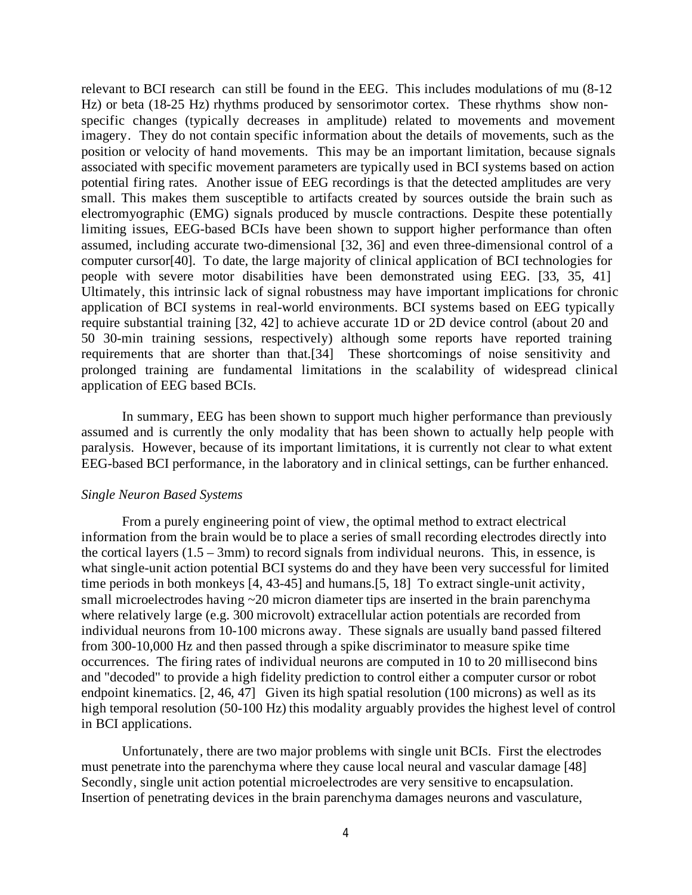relevant to BCI research can still be found in the EEG. This includes modulations of mu (8-12 Hz) or beta (18-25 Hz) rhythms produced by sensorimotor cortex. These rhythms show nonspecific changes (typically decreases in amplitude) related to movements and movement imagery. They do not contain specific information about the details of movements, such as the position or velocity of hand movements. This may be an important limitation, because signals associated with specific movement parameters are typically used in BCI systems based on action potential firing rates. Another issue of EEG recordings is that the detected amplitudes are very small. This makes them susceptible to artifacts created by sources outside the brain such as electromyographic (EMG) signals produced by muscle contractions. Despite these potentially limiting issues, EEG-based BCIs have been shown to support higher performance than often assumed, including accurate two-dimensional [32, 36] and even three-dimensional control of a computer cursor[40]. To date, the large majority of clinical application of BCI technologies for people with severe motor disabilities have been demonstrated using EEG. [33, 35, 41] Ultimately, this intrinsic lack of signal robustness may have important implications for chronic application of BCI systems in real-world environments. BCI systems based on EEG typically require substantial training [32, 42] to achieve accurate 1D or 2D device control (about 20 and 50 30-min training sessions, respectively) although some reports have reported training requirements that are shorter than that.[34] These shortcomings of noise sensitivity and prolonged training are fundamental limitations in the scalability of widespread clinical application of EEG based BCIs.

In summary, EEG has been shown to support much higher performance than previously assumed and is currently the only modality that has been shown to actually help people with paralysis. However, because of its important limitations, it is currently not clear to what extent EEG-based BCI performance, in the laboratory and in clinical settings, can be further enhanced.

#### *Single Neuron Based Systems*

From a purely engineering point of view, the optimal method to extract electrical information from the brain would be to place a series of small recording electrodes directly into the cortical layers  $(1.5 - 3$ mm) to record signals from individual neurons. This, in essence, is what single-unit action potential BCI systems do and they have been very successful for limited time periods in both monkeys [4, 43-45] and humans.[5, 18] To extract single-unit activity, small microelectrodes having ~20 micron diameter tips are inserted in the brain parenchyma where relatively large (e.g. 300 microvolt) extracellular action potentials are recorded from individual neurons from 10-100 microns away. These signals are usually band passed filtered from 300-10,000 Hz and then passed through a spike discriminator to measure spike time occurrences. The firing rates of individual neurons are computed in 10 to 20 millisecond bins and "decoded" to provide a high fidelity prediction to control either a computer cursor or robot endpoint kinematics. [2, 46, 47] Given its high spatial resolution (100 microns) as well as its high temporal resolution (50-100 Hz) this modality arguably provides the highest level of control in BCI applications.

Unfortunately, there are two major problems with single unit BCIs. First the electrodes must penetrate into the parenchyma where they cause local neural and vascular damage [48] Secondly, single unit action potential microelectrodes are very sensitive to encapsulation. Insertion of penetrating devices in the brain parenchyma damages neurons and vasculature,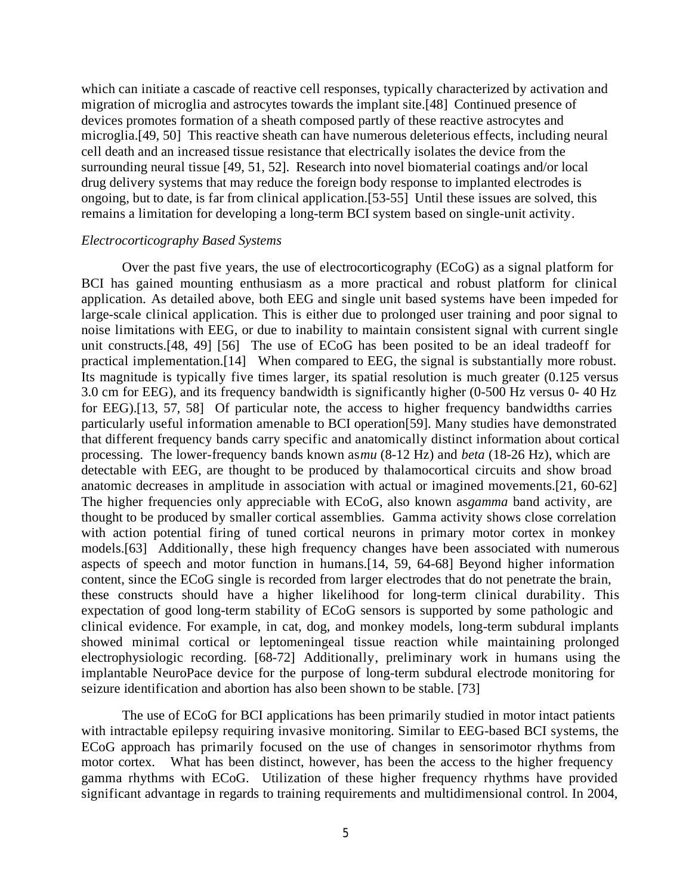which can initiate a cascade of reactive cell responses, typically characterized by activation and migration of microglia and astrocytes towards the implant site.[48] Continued presence of devices promotes formation of a sheath composed partly of these reactive astrocytes and microglia.[49, 50] This reactive sheath can have numerous deleterious effects, including neural cell death and an increased tissue resistance that electrically isolates the device from the surrounding neural tissue [49, 51, 52]. Research into novel biomaterial coatings and/or local drug delivery systems that may reduce the foreign body response to implanted electrodes is ongoing, but to date, is far from clinical application.[53-55] Until these issues are solved, this remains a limitation for developing a long-term BCI system based on single-unit activity.

#### *Electrocorticography Based Systems*

Over the past five years, the use of electrocorticography (ECoG) as a signal platform for BCI has gained mounting enthusiasm as a more practical and robust platform for clinical application. As detailed above, both EEG and single unit based systems have been impeded for large-scale clinical application. This is either due to prolonged user training and poor signal to noise limitations with EEG, or due to inability to maintain consistent signal with current single unit constructs.[48, 49] [56] The use of ECoG has been posited to be an ideal tradeoff for practical implementation.[14] When compared to EEG, the signal is substantially more robust. Its magnitude is typically five times larger, its spatial resolution is much greater (0.125 versus 3.0 cm for EEG), and its frequency bandwidth is significantly higher (0-500 Hz versus 0- 40 Hz for EEG).[13, 57, 58] Of particular note, the access to higher frequency bandwidths carries particularly useful information amenable to BCI operation[59]. Many studies have demonstrated that different frequency bands carry specific and anatomically distinct information about cortical processing. The lower-frequency bands known as *mu* (8-12 Hz) and *beta* (18-26 Hz), which are detectable with EEG, are thought to be produced by thalamocortical circuits and show broad anatomic decreases in amplitude in association with actual or imagined movements.[21, 60-62] The higher frequencies only appreciable with ECoG, also known as *gamma* band activity, are thought to be produced by smaller cortical assemblies. Gamma activity shows close correlation with action potential firing of tuned cortical neurons in primary motor cortex in monkey models.[63] Additionally, these high frequency changes have been associated with numerous aspects of speech and motor function in humans.[14, 59, 64-68] Beyond higher information content, since the ECoG single is recorded from larger electrodes that do not penetrate the brain, these constructs should have a higher likelihood for long-term clinical durability. This expectation of good long-term stability of ECoG sensors is supported by some pathologic and clinical evidence. For example, in cat, dog, and monkey models, long-term subdural implants showed minimal cortical or leptomeningeal tissue reaction while maintaining prolonged electrophysiologic recording. [68-72] Additionally, preliminary work in humans using the implantable NeuroPace device for the purpose of long-term subdural electrode monitoring for seizure identification and abortion has also been shown to be stable. [73]

The use of ECoG for BCI applications has been primarily studied in motor intact patients with intractable epilepsy requiring invasive monitoring. Similar to EEG-based BCI systems, the ECoG approach has primarily focused on the use of changes in sensorimotor rhythms from motor cortex. What has been distinct, however, has been the access to the higher frequency gamma rhythms with ECoG. Utilization of these higher frequency rhythms have provided significant advantage in regards to training requirements and multidimensional control. In 2004,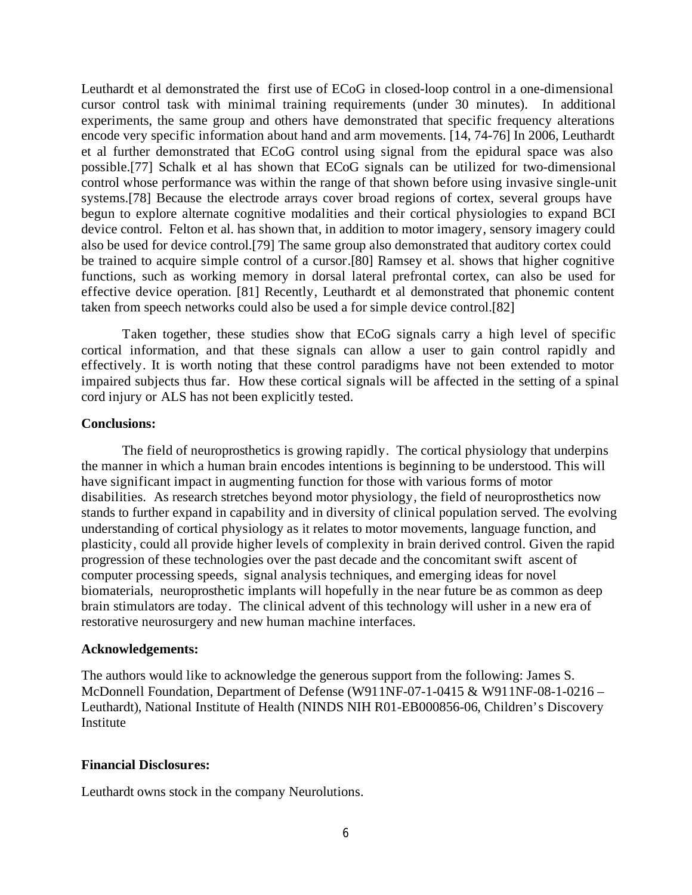Leuthardt et al demonstrated the first use of ECoG in closed-loop control in a one-dimensional cursor control task with minimal training requirements (under 30 minutes). In additional experiments, the same group and others have demonstrated that specific frequency alterations encode very specific information about hand and arm movements. [14, 74-76] In 2006, Leuthardt et al further demonstrated that ECoG control using signal from the epidural space was also possible.[77] Schalk et al has shown that ECoG signals can be utilized for two-dimensional control whose performance was within the range of that shown before using invasive single-unit systems.[78] Because the electrode arrays cover broad regions of cortex, several groups have begun to explore alternate cognitive modalities and their cortical physiologies to expand BCI device control. Felton et al. has shown that, in addition to motor imagery, sensory imagery could also be used for device control.[79] The same group also demonstrated that auditory cortex could be trained to acquire simple control of a cursor.[80] Ramsey et al. shows that higher cognitive functions, such as working memory in dorsal lateral prefrontal cortex, can also be used for effective device operation. [81] Recently, Leuthardt et al demonstrated that phonemic content taken from speech networks could also be used a for simple device control.[82]

Taken together, these studies show that ECoG signals carry a high level of specific cortical information, and that these signals can allow a user to gain control rapidly and effectively. It is worth noting that these control paradigms have not been extended to motor impaired subjects thus far. How these cortical signals will be affected in the setting of a spinal cord injury or ALS has not been explicitly tested.

#### **Conclusions:**

The field of neuroprosthetics is growing rapidly. The cortical physiology that underpins the manner in which a human brain encodes intentions is beginning to be understood. This will have significant impact in augmenting function for those with various forms of motor disabilities. As research stretches beyond motor physiology, the field of neuroprosthetics now stands to further expand in capability and in diversity of clinical population served. The evolving understanding of cortical physiology as it relates to motor movements, language function, and plasticity, could all provide higher levels of complexity in brain derived control. Given the rapid progression of these technologies over the past decade and the concomitant swift ascent of computer processing speeds, signal analysis techniques, and emerging ideas for novel biomaterials, neuroprosthetic implants will hopefully in the near future be as common as deep brain stimulators are today. The clinical advent of this technology will usher in a new era of restorative neurosurgery and new human machine interfaces.

#### **Acknowledgements:**

The authors would like to acknowledge the generous support from the following: James S. McDonnell Foundation, Department of Defense (W911NF-07-1-0415 & W911NF-08-1-0216 – Leuthardt), National Institute of Health (NINDS NIH R01-EB000856-06, Children's Discovery Institute

#### **Financial Disclosures:**

Leuthardt owns stock in the company Neurolutions.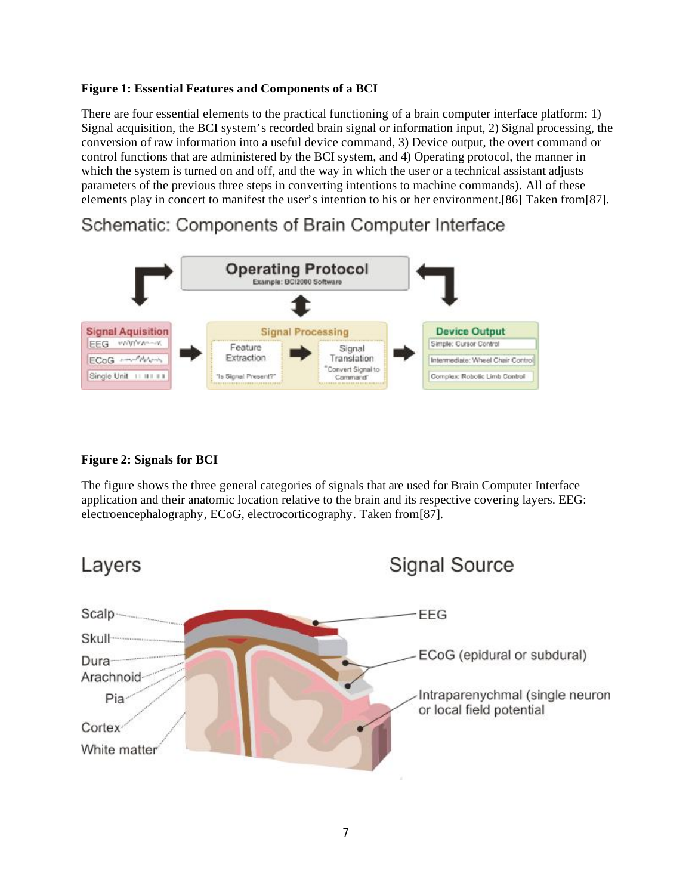## **Figure 1: Essential Features and Components of a BCI**

There are four essential elements to the practical functioning of a brain computer interface platform: 1) Signal acquisition, the BCI system's recorded brain signal or information input, 2) Signal processing, the conversion of raw information into a useful device command, 3) Device output, the overt command or control functions that are administered by the BCI system, and 4) Operating protocol, the manner in which the system is turned on and off, and the way in which the user or a technical assistant adjusts parameters of the previous three steps in converting intentions to machine commands). All of these elements play in concert to manifest the user's intention to his or her environment.[86] Taken from[87].

# Schematic: Components of Brain Computer Interface



# **Figure 2: Signals for BCI**

The figure shows the three general categories of signals that are used for Brain Computer Interface application and their anatomic location relative to the brain and its respective covering layers. EEG: electroencephalography, ECoG, electrocorticography. Taken from[87].

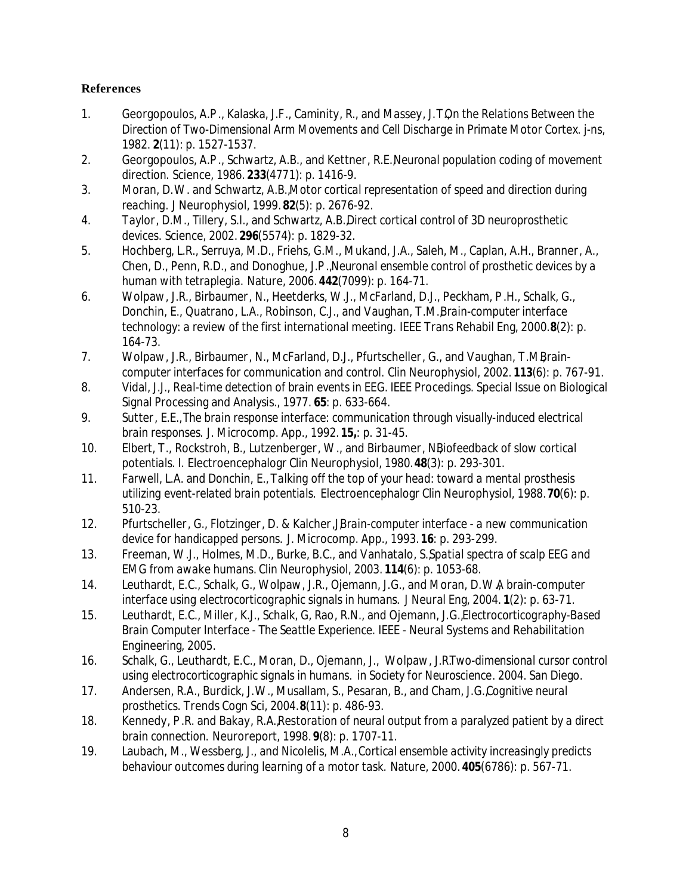## **References**

- 1. Georgopoulos, A.P ., Kalaska, J.F., Caminity, R., and Massey, J.T., *On the Relations Between the Direction of Two-Dimensional Arm Movements and Cell Discharge in Primate Motor Cortex.* j-ns, 1982. **2**(11): p. 1527-1537.
- 2. Georgopoulos, A.P ., Schwartz, A.B., and Kettner, R.E., *Neuronal population coding of movement direction.* Science, 1986. **233**(4771): p. 1416-9.
- 3. Moran, D.W. and Schwartz, A.B., *Motor cortical representation of speed and direction during reaching.* J Neurophysiol, 1999. **82**(5): p. 2676-92.
- 4. Taylor, D.M., Tillery, S.I., and Schwartz, A.B., *Direct cortical control of 3D neuroprosthetic devices.* Science, 2002. **296**(5574): p. 1829-32.
- 5. Hochberg, L.R., Serruya, M.D., Friehs, G.M., Mukand, J.A., Saleh, M., Caplan, A.H., Branner, A., Chen, D., Penn, R.D., and Donoghue, J.P ., *Neuronal ensemble control of prosthetic devices by a human with tetraplegia.* Nature, 2006. **442**(7099): p. 164-71.
- 6. Wolpaw, J.R., Birbaumer, N., Heetderks, W.J., McFarland, D.J., Peckham, P .H., Schalk, G., Donchin, E., Quatrano, L.A., Robinson, C.J., and Vaughan, T.M., *Brain-computer interface technology: a review of the first international meeting.* IEEE Trans Rehabil Eng, 2000. **8**(2): p. 164-73.
- 7. Wolpaw, J.R., Birbaumer, N., McFarland, D.J., Pfurtscheller, G., and Vaughan, T.M.*Braincomputer interfaces for communication and control.* Clin Neurophysiol, 2002. **113**(6): p. 767-91.
- 8. Vidal, J.J., *Real-time detection of brain events in EEG.* IEEE Procedings. Special Issue on Biological Signal Processing and Analysis., 1977. **65**: p. 633-664.
- 9. Sutter, E.E., *The brain response interface: communication through visually-induced electrical brain responses.* J. Microcomp. App., 1992. **15,**: p. 31-45.
- 10. Elbert, T., Rockstroh, B., Lutzenberger, W., and Birbaumer, N*Biofeedback of slow cortical potentials. I.* Electroencephalogr Clin Neurophysiol, 1980. **48**(3): p. 293-301.
- 11. Farwell, L.A. and Donchin, E., *Talking off the top of your head: toward a mental prosthesis utilizing event-related brain potentials.* Electroencephalogr Clin Neurophysiol, 1988. **70**(6): p. 510-23.
- 12. Pfurtscheller, G., Flotzinger, D. & Kalcher,J, *Brain-computer interface a new communication device for handicapped persons.* J. Microcomp. App., 1993. **16**: p. 293-299.
- 13. Freeman, W.J., Holmes, M.D., Burke, B.C., and Vanhatalo, S., *Spatial spectra of scalp EEG and EMG from awake humans.* Clin Neurophysiol, 2003. **114**(6): p. 1053-68.
- 14. Leuthardt, E.C., Schalk, G., Wolpaw, J.R., Ojemann, J.G., and Moran, D.W., *A brain-computer interface using electrocorticographic signals in humans.* J Neural Eng, 2004. **1**(2): p. 63-71.
- 15. Leuthardt, E.C., Miller, K.J., Schalk, G, Rao, R.N., and Ojemann, J.G., *Electrocorticography-Based Brain Computer Interface - The Seattle Experience.* IEEE - Neural Systems and Rehabilitation Engineering, 2005.
- 16. Schalk, G., Leuthardt, E.C., Moran, D., Ojemann, J., Wolpaw, J.R. *Two-dimensional cursor control using electrocorticographic signals in humans.* in *Society for Neuroscience*. 2004. San Diego.
- 17. Andersen, R.A., Burdick, J.W., Musallam, S., Pesaran, B., and Cham, J.G., *Cognitive neural prosthetics.* Trends Cogn Sci, 2004. **8**(11): p. 486-93.
- 18. Kennedy, P .R. and Bakay, R.A., *Restoration of neural output from a paralyzed patient by a direct brain connection.* Neuroreport, 1998. **9**(8): p. 1707-11.
- 19. Laubach, M., Wessberg, J., and Nicolelis, M.A., *Cortical ensemble activity increasingly predicts behaviour outcomes during learning of a motor task.* Nature, 2000. **405**(6786): p. 567-71.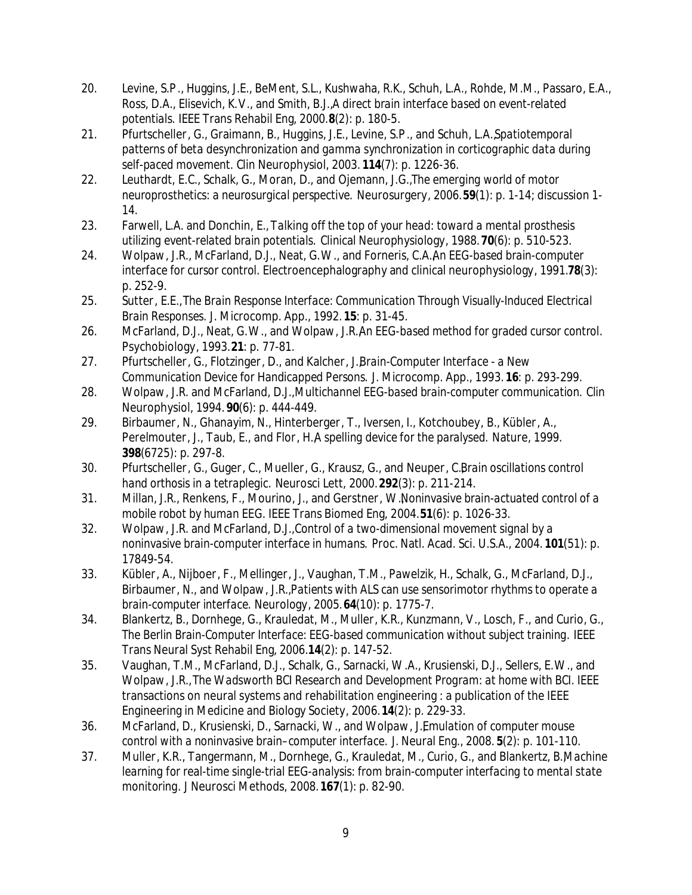- 20. Levine, S.P ., Huggins, J.E., BeMent, S.L., Kushwaha, R.K., Schuh, L.A., Rohde, M.M., Passaro, E.A., Ross, D.A., Elisevich, K.V., and Smith, B.J., *A direct brain interface based on event-related potentials.* IEEE Trans Rehabil Eng, 2000. **8**(2): p. 180-5.
- 21. Pfurtscheller, G., Graimann, B., Huggins, J.E., Levine, S.P ., and Schuh, L.A., *Spatiotemporal patterns of beta desynchronization and gamma synchronization in corticographic data during self-paced movement.* Clin Neurophysiol, 2003. **114**(7): p. 1226-36.
- 22. Leuthardt, E.C., Schalk, G., Moran, D., and Ojemann, J.G., *The emerging world of motor neuroprosthetics: a neurosurgical perspective.* Neurosurgery, 2006. **59**(1): p. 1-14; discussion 1- 14.
- 23. Farwell, L.A. and Donchin, E., *Talking off the top of your head: toward a mental prosthesis utilizing event-related brain potentials.* Clinical Neurophysiology, 1988. **70**(6): p. 510-523.
- 24. Wolpaw, J.R., McFarland, D.J., Neat, G.W., and Forneris, C.A. An EEG-based brain-computer *interface for cursor control.* Electroencephalography and clinical neurophysiology, 1991.78(3): p. 252-9.
- 25. Sutter, E.E., *The Brain Response Interface: Communication Through Visually-Induced Electrical Brain Responses.* J. Microcomp. App., 1992. **15**: p. 31-45.
- 26. McFarland, D.J., Neat, G.W., and Wolpaw, J.R. An EEG-based method for graded cursor control. Psychobiology, 1993. **21**: p. 77-81.
- 27. Pfurtscheller, G., Flotzinger, D., and Kalcher, J. *Brain-Computer Interface a New Communication Device for Handicapped Persons.* J. Microcomp. App., 1993. **16**: p. 293-299.
- 28. Wolpaw, J.R. and McFarland, D.J., *Multichannel EEG-based brain-computer communication.* Clin Neurophysiol, 1994. **90**(6): p. 444-449.
- 29. Birbaumer, N., Ghanayim, N., Hinterberger, T., Iversen, I., Kotchoubey, B., Kübler, A., Perelmouter, J., Taub, E., and Flor, H.A spelling device for the paralysed. Nature, 1999. **398**(6725): p. 297-8.
- 30. Pfurtscheller, G., Guger, C., Mueller, G., Krausz, G., and Neuper, C., *Brain oscillations control hand orthosis in a tetraplegic.* Neurosci Lett, 2000. **292**(3): p. 211-214.
- 31. Millan, J.R., Renkens, F., Mourino, J., and Gerstner, W., *Noninvasive brain-actuated control of a mobile robot by human EEG.* IEEE Trans Biomed Eng, 2004. **51**(6): p. 1026-33.
- 32. Wolpaw, J.R. and McFarland, D.J., *Control of a two-dimensional movement signal by a noninvasive brain-computer interface in humans.* Proc. Natl. Acad. Sci. U.S.A., 2004. **101**(51): p. 17849-54.
- 33. Kübler, A., Nijboer, F., Mellinger, J., Vaughan, T.M., Pawelzik, H., Schalk, G., McFarland, D.J., Birbaumer, N., and Wolpaw, J.R., *Patients with ALS can use sensorimotor rhythms to operate a brain-computer interface.* Neurology, 2005. **64**(10): p. 1775-7.
- 34. Blankertz, B., Dornhege, G., Krauledat, M., Muller, K.R., Kunzmann, V., Losch, F., and Curio, G., *The Berlin Brain-Computer Interface: EEG-based communication without subject training.* IEEE Trans Neural Syst Rehabil Eng, 2006. **14**(2): p. 147-52.
- 35. Vaughan, T.M., McFarland, D.J., Schalk, G., Sarnacki, W.A., Krusienski, D.J., Sellers, E.W., and Wolpaw, J.R., *The Wadsworth BCI Research and Development Program: at home with BCI.* IEEE transactions on neural systems and rehabilitation engineering : a publication of the IEEE Engineering in Medicine and Biology Society, 2006. **14**(2): p. 229-33.
- 36. McFarland, D., Krusienski, D., Sarnacki, W., and Wolpaw, J., *Emulation of computer mouse control with a noninvasive brain–computer interface.* J. Neural Eng., 2008. **5**(2): p. 101-110.
- 37. Muller, K.R., Tangermann, M., Dornhege, G., Krauledat, M., Curio, G., and Blankertz, B., *Machine learning for real-time single-trial EEG-analysis: from brain-computer interfacing to mental state monitoring.* J Neurosci Methods, 2008. **167**(1): p. 82-90.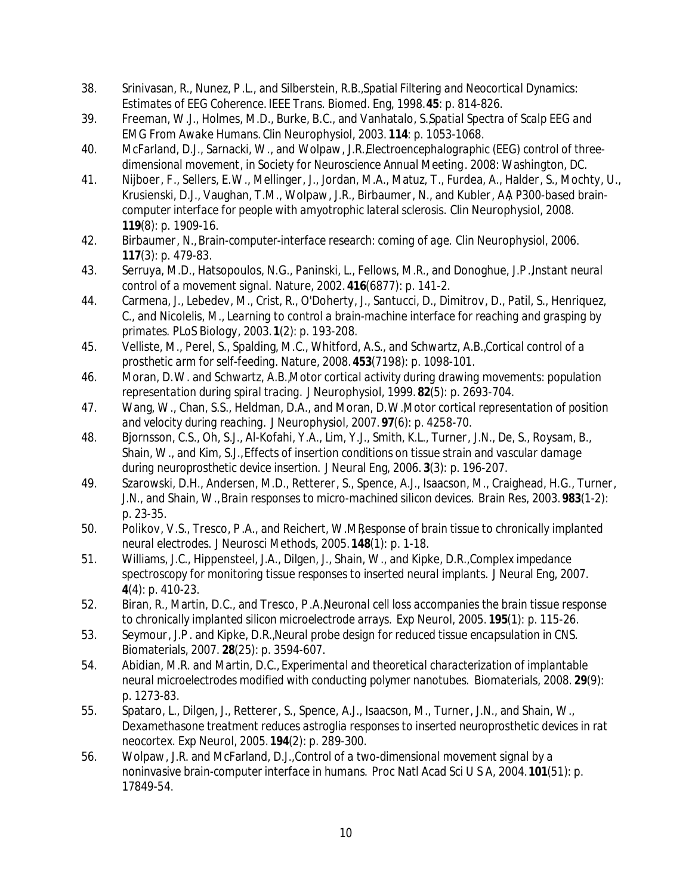- 38. Srinivasan, R., Nunez, P .L., and Silberstein, R.B., *Spatial Filtering and Neocortical Dynamics: Estimates of EEG Coherence.* IEEE Trans. Biomed. Eng, 1998. **45**: p. 814-826.
- 39. Freeman, W.J., Holmes, M.D., Burke, B.C., and Vanhatalo, S., *Spatial Spectra of Scalp EEG and EMG From Awake Humans.* Clin Neurophysiol, 2003. **114**: p. 1053-1068.
- 40. McFarland, D.J., Sarnacki, W., and Wolpaw, J.R., *Electroencephalographic (EEG) control of threedimensional movement*, in *Society for Neuroscience Annual Meeting*. 2008: Washington, DC.
- 41. Nijboer, F., Sellers, E.W., Mellinger, J., Jordan, M.A., Matuz, T., Furdea, A., Halder, S., Mochty, U., Krusienski, D.J., Vaughan, T.M., Wolpaw, J.R., Birbaumer, N., and Kubler, AA P300-based brain*computer interface for people with amyotrophic lateral sclerosis.* Clin Neurophysiol, 2008. **119**(8): p. 1909-16.
- 42. Birbaumer, N., *Brain-computer-interface research: coming of age.* Clin Neurophysiol, 2006. **117**(3): p. 479-83.
- 43. Serruya, M.D., Hatsopoulos, N.G., Paninski, L., Fellows, M.R., and Donoghue, J.P., *Instant neural control of a movement signal.* Nature, 2002. **416**(6877): p. 141-2.
- 44. Carmena, J., Lebedev, M., Crist, R., O'Doherty, J., Santucci, D., Dimitrov, D., Patil, S., Henriquez, C., and Nicolelis, M., *Learning to control a brain-machine interface for reaching and grasping by primates.* PLoS Biology, 2003. **1**(2): p. 193-208.
- 45. Velliste, M., Perel, S., Spalding, M.C., Whitford, A.S., and Schwartz, A.B., *Cortical control of a prosthetic arm for self-feeding.* Nature, 2008. **453**(7198): p. 1098-101.
- 46. Moran, D.W. and Schwartz, A.B., *Motor cortical activity during drawing movements: population representation during spiral tracing.* J Neurophysiol, 1999. **82**(5): p. 2693-704.
- 47. Wang, W., Chan, S.S., Heldman, D.A., and Moran, D.W., *Motor cortical representation of position and velocity during reaching.* J Neurophysiol, 2007. **97**(6): p. 4258-70.
- 48. Bjornsson, C.S., Oh, S.J., Al-Kofahi, Y.A., Lim, Y.J., Smith, K.L., Turner, J.N., De, S., Roysam, B., Shain, W., and Kim, S.J., *Effects of insertion conditions on tissue strain and vascular damage during neuroprosthetic device insertion.* J Neural Eng, 2006. **3**(3): p. 196-207.
- 49. Szarowski, D.H., Andersen, M.D., Retterer, S., Spence, A.J., Isaacson, M., Craighead, H.G., Turner, J.N., and Shain, W., *Brain responses to micro-machined silicon devices.* Brain Res, 2003. **983**(1-2): p. 23-35.
- 50. Polikov, V.S., Tresco, P.A., and Reichert, W.M.Response of brain tissue to chronically implanted *neural electrodes.* J Neurosci Methods, 2005. **148**(1): p. 1-18.
- 51. Williams, J.C., Hippensteel, J.A., Dilgen, J., Shain, W., and Kipke, D.R., *Complex impedance spectroscopy for monitoring tissue responses to inserted neural implants.* J Neural Eng, 2007. **4**(4): p. 410-23.
- 52. Biran, R., Martin, D.C., and Tresco, P .A., *Neuronal cell loss accompanies the brain tissue response to chronically implanted silicon microelectrode arrays.* Exp Neurol, 2005. **195**(1): p. 115-26.
- 53. Seymour, J.P . and Kipke, D.R., *Neural probe design for reduced tissue encapsulation in CNS.* Biomaterials, 2007. **28**(25): p. 3594-607.
- 54. Abidian, M.R. and Martin, D.C., *Experimental and theoretical characterization of implantable neural microelectrodes modified with conducting polymer nanotubes.* Biomaterials, 2008. **29**(9): p. 1273-83.
- 55. Spataro, L., Dilgen, J., Retterer, S., Spence, A.J., Isaacson, M., Turner, J.N., and Shain, W., *Dexamethasone treatment reduces astroglia responses to inserted neuroprosthetic devices in rat neocortex.* Exp Neurol, 2005. **194**(2): p. 289-300.
- 56. Wolpaw, J.R. and McFarland, D.J., *Control of a two-dimensional movement signal by a noninvasive brain-computer interface in humans.* Proc Natl Acad Sci U S A, 2004. **101**(51): p. 17849-54.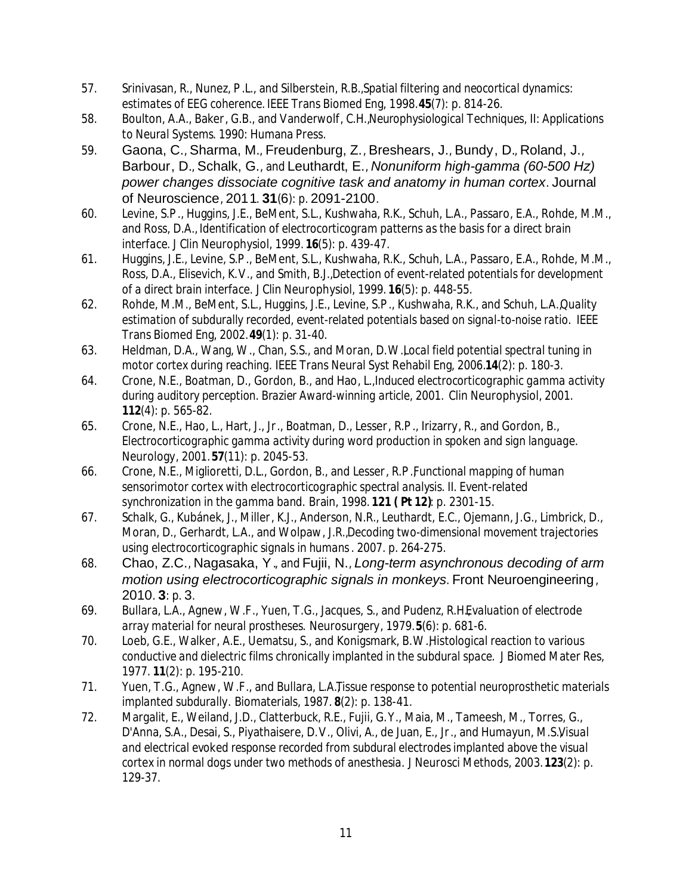- 57. Srinivasan, R., Nunez, P .L., and Silberstein, R.B., *Spatial filtering and neocortical dynamics: estimates of EEG coherence.* IEEE Trans Biomed Eng, 1998. **45**(7): p. 814-26.
- 58. Boulton, A.A., Baker, G.B., and Vanderwolf, C.H., *Neurophysiological Techniques, II: Applications to Neural Systems*. 1990: Humana Press.
- 59. Gaona, C., Sharma, M., Freudenburg, Z., Breshears, J., Bundy, D., Roland, J., Barbour, D., Schalk, G., and Leuthardt, E., *Nonuniform high-gamma (60-500 Hz) power changes dissociate cognitive task and anatomy in human cortex.* Journal of Neuroscience, 2011. **31**(6): p. 2091-2100.
- 60. Levine, S.P ., Huggins, J.E., BeMent, S.L., Kushwaha, R.K., Schuh, L.A., Passaro, E.A., Rohde, M.M., and Ross, D.A., *Identification of electrocorticogram patterns as the basis for a direct brain interface.* J Clin Neurophysiol, 1999. **16**(5): p. 439-47.
- 61. Huggins, J.E., Levine, S.P ., BeMent, S.L., Kushwaha, R.K., Schuh, L.A., Passaro, E.A., Rohde, M.M., Ross, D.A., Elisevich, K.V., and Smith, B.J., *Detection of event-related potentials for development of a direct brain interface.* J Clin Neurophysiol, 1999. **16**(5): p. 448-55.
- 62. Rohde, M.M., BeMent, S.L., Huggins, J.E., Levine, S.P ., Kushwaha, R.K., and Schuh, L.A., *Quality estimation of subdurally recorded, event-related potentials based on signal-to-noise ratio.* IEEE Trans Biomed Eng, 2002. **49**(1): p. 31-40.
- 63. Heldman, D.A., Wang, W., Chan, S.S., and Moran, D.W., *Local field potential spectral tuning in motor cortex during reaching.* IEEE Trans Neural Syst Rehabil Eng, 2006. **14**(2): p. 180-3.
- 64. Crone, N.E., Boatman, D., Gordon, B., and Hao, L., *Induced electrocorticographic gamma activity during auditory perception. Brazier Award-winning article, 2001.* Clin Neurophysiol, 2001. **112**(4): p. 565-82.
- 65. Crone, N.E., Hao, L., Hart, J., Jr., Boatman, D., Lesser, R.P ., Irizarry, R., and Gordon, B., *Electrocorticographic gamma activity during word production in spoken and sign language.* Neurology, 2001. **57**(11): p. 2045-53.
- 66. Crone, N.E., Miglioretti, D.L., Gordon, B., and Lesser, R.P. *Functional mapping of human sensorimotor cortex with electrocorticographic spectral analysis. II. Event-related synchronization in the gamma band.* Brain, 1998. **121 ( Pt 12)**: p. 2301-15.
- 67. Schalk, G., Kubánek, J., Miller, K.J., Anderson, N.R., Leuthardt, E.C., Ojemann, J.G., Limbrick, D., Moran, D., Gerhardt, L.A., and Wolpaw, J.R., *Decoding two-dimensional movement trajectories using electrocorticographic signals in humans*. 2007. p. 264-275.
- 68. Chao, Z.C., Nagasaka, Y., and Fujii, N., *Long-term asynchronous decoding of arm motion using electrocorticographic signals in monkeys.* Front Neuroengineering, 2010. **3**: p. 3.
- 69. Bullara, L.A., Agnew, W.F., Yuen, T.G., Jacques, S., and Pudenz, R.H. *Evaluation of electrode array material for neural prostheses.* Neurosurgery, 1979. **5**(6): p. 681-6.
- 70. Loeb, G.E., Walker, A.E., Uematsu, S., and Konigsmark, B.W., *Histological reaction to various conductive and dielectric films chronically implanted in the subdural space.* J Biomed Mater Res, 1977. **11**(2): p. 195-210.
- 71. Yuen, T.G., Agnew, W.F., and Bullara, L.A.*Tissue response to potential neuroprosthetic materials implanted subdurally.* Biomaterials, 1987. **8**(2): p. 138-41.
- 72. Margalit, E., Weiland, J.D., Clatterbuck, R.E., Fujii, G.Y., Maia, M., Tameesh, M., Torres, G., D'Anna, S.A., Desai, S., Piyathaisere, D.V., Olivi, A., de Juan, E., Jr., and Humayun, M.S. Visual *and electrical evoked response recorded from subdural electrodes implanted above the visual cortex in normal dogs under two methods of anesthesia.* J Neurosci Methods, 2003. **123**(2): p. 129-37.